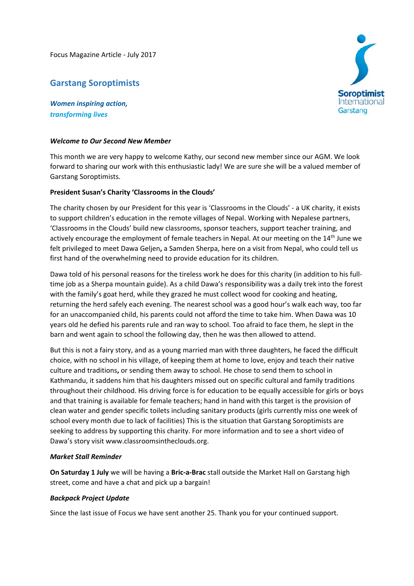Focus Magazine Article ‐ July 2017

# **Garstang Soroptimists**

*Women inspiring action, transforming lives*

## *Welcome to Our Second New Member*

This month we are very happy to welcome Kathy, our second new member since our AGM. We look forward to sharing our work with this enthusiastic lady! We are sure she will be a valued member of Garstang Soroptimists.

## **President Susan's Charity 'Classrooms in the Clouds'**

The charity chosen by our President for this year is 'Classrooms in the Clouds' ‐ a UK charity, it exists to support children's education in the remote villages of Nepal. Working with Nepalese partners, 'Classrooms in the Clouds' build new classrooms, sponsor teachers, support teacher training, and actively encourage the employment of female teachers in Nepal. At our meeting on the  $14<sup>th</sup>$  June we felt privileged to meet Dawa Geljen**,** a Samden Sherpa, here on a visit from Nepal, who could tell us first hand of the overwhelming need to provide education for its children.

Dawa told of his personal reasons for the tireless work he does for this charity (in addition to his fulltime job as a Sherpa mountain guide). As a child Dawa's responsibility was a daily trek into the forest with the family's goat herd, while they grazed he must collect wood for cooking and heating, returning the herd safely each evening. The nearest school was a good hour's walk each way, too far for an unaccompanied child, his parents could not afford the time to take him. When Dawa was 10 years old he defied his parents rule and ran way to school. Too afraid to face them, he slept in the barn and went again to school the following day, then he was then allowed to attend.

But this is not a fairy story, and as a young married man with three daughters, he faced the difficult choice, with no school in his village, of keeping them at home to love, enjoy and teach their native culture and traditions**,** or sending them away to school. He chose to send them to school in Kathmandu, it saddens him that his daughters missed out on specific cultural and family traditions throughout their childhood. His driving force is for education to be equally accessible for girls or boys and that training is available for female teachers; hand in hand with this target is the provision of clean water and gender specific toilets including sanitary products (girls currently miss one week of school every month due to lack of facilities) This is the situation that Garstang Soroptimists are seeking to address by supporting this charity. For more information and to see a short video of Dawa's story visit www.classroomsintheclouds.org.

## *Market Stall Reminder*

**On Saturday 1 July** we will be having a **Bric‐a‐Brac** stall outside the Market Hall on Garstang high street, come and have a chat and pick up a bargain!

## *Backpack Project Update*

Since the last issue of Focus we have sent another 25. Thank you for your continued support.